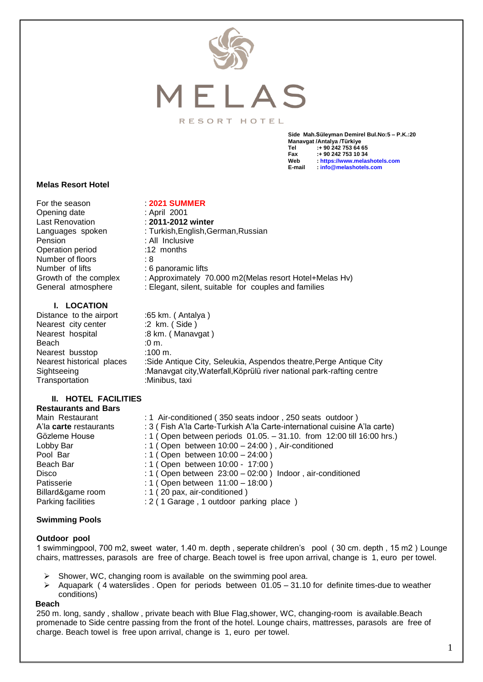

### RESORT HOTEL

**Side Mah.Süleyman Demirel Bul.No:5 – P.K.:20 Manavgat /Antalya /Türkiye Tel :+ 90 242 753 64 65 Fax :+ 90 242 753 10 34 Web : [https://www.melashotels.com](https://www.melashotels.com/) E-mail : [info@melashotels.com](mailto:info@melashotels.com)**

#### **Melas Resort Hotel**

For the season : **2021 SUMMER**<br>Opening date : **April** 2001 Opening date Last Renovation : **2011-2012 winter** Languages spoken : Turkish, English, German, Russian Pension : All Inclusive Operation period :12 months Number of floors : 8 Number of lifts : 6 panoramic lifts Growth of the complex : Approximately 70.000 m2(Melas resort Hotel+Melas Hv) General atmosphere : Elegant, silent, suitable for couples and families

**I. LOCATION**

Distance to the airport :65 km. (Antalya) Nearest city center :2 km. (Side) Nearest hospital :8 km. (Manavgat) Beach :0 m. Nearest busstop :100 m. Nearest historical places : Side Antique City, Seleukia, Aspendos theatre, Perge Antique City Sightseeing :Manavgat city,Waterfall,Köprülü river national park-rafting centre Transportation :Minibus, taxi

#### **II. HOTEL FACILITIES Restaurants and Bars**

| ncəladı anla and Dais  |                                                                            |
|------------------------|----------------------------------------------------------------------------|
| Main Restaurant        | : 1 Air-conditioned (350 seats indoor, 250 seats outdoor)                  |
| A'la carte restaurants | : 3 ( Fish A'la Carte-Turkish A'la Carte-international cuisine A'la carte) |
| Gözleme House          | : 1 (Open between periods 01.05. - 31.10. from 12:00 till 16:00 hrs.)      |
| Lobby Bar              | : 1 (Open between $10:00 - 24:00$ ), Air-conditioned                       |
| Pool Bar               | : 1 (Open between $10:00 - 24:00$ )                                        |
| Beach Bar              | : 1 (Open between 10:00 - 17:00)                                           |
| Disco                  | : 1 (Open between $23:00 - 02:00$ ) Indoor, air-conditioned                |
| Patisserie             | : 1 (Open between $11:00 - 18:00$ )                                        |
| Billard&game room      | : 1 (20 pax, air-conditioned)                                              |
| Parking facilities     | : 2 ( 1 Garage, 1 outdoor parking place)                                   |
|                        |                                                                            |

## **Swimming Pools**

#### **Outdoor pool**

1 swimmingpool, 700 m2, sweet water, 1.40 m. depth , seperate children's pool ( 30 cm. depth , 15 m2 ) Lounge chairs, mattresses, parasols are free of charge. Beach towel is free upon arrival, change is 1, euro per towel.

- Shower, WC, changing room is available on the swimming pool area.
- $\triangleright$  Aquapark (4 waterslides . Open for periods between 01.05 31.10 for definite times-due to weather conditions)

#### **Beach**

250 m. long, sandy , shallow , private beach with Blue Flag,shower, WC, changing-room is available.Beach promenade to Side centre passing from the front of the hotel. Lounge chairs, mattresses, parasols are free of charge. Beach towel is free upon arrival, change is 1, euro per towel.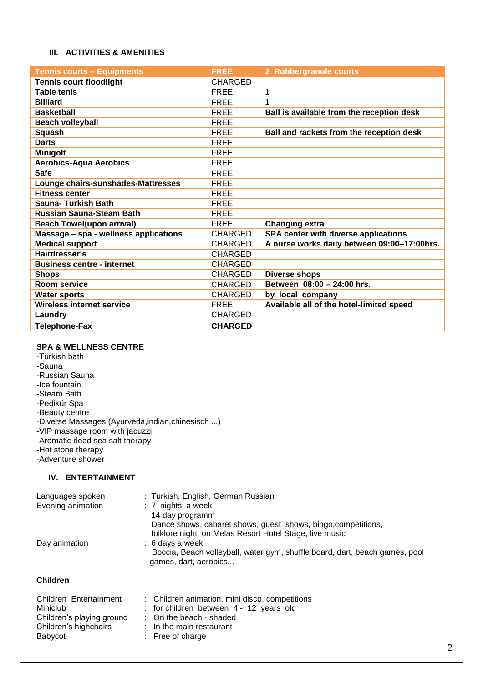## **III. ACTIVITIES & AMENITIES**

| <b>Tennis courts - Equipments</b>     | <b>FREE</b>    | 2 Rubbergranule courts                      |
|---------------------------------------|----------------|---------------------------------------------|
| <b>Tennis court floodlight</b>        | <b>CHARGED</b> |                                             |
| <b>Table tenis</b>                    | <b>FREE</b>    | 1                                           |
| <b>Billiard</b>                       | <b>FREE</b>    | 1                                           |
| <b>Basketball</b>                     | <b>FREE</b>    | Ball is available from the reception desk   |
| <b>Beach volleyball</b>               | <b>FREE</b>    |                                             |
| <b>Squash</b>                         | <b>FREE</b>    | Ball and rackets from the reception desk    |
| <b>Darts</b>                          | <b>FREE</b>    |                                             |
| <b>Minigolf</b>                       | <b>FREE</b>    |                                             |
| <b>Aerobics-Aqua Aerobics</b>         | <b>FREE</b>    |                                             |
| <b>Safe</b>                           | <b>FREE</b>    |                                             |
| Lounge chairs-sunshades-Mattresses    | <b>FREE</b>    |                                             |
| <b>Fitness center</b>                 | <b>FREE</b>    |                                             |
| Sauna- Turkish Bath                   | <b>FREE</b>    |                                             |
| <b>Russian Sauna-Steam Bath</b>       | <b>FREE</b>    |                                             |
| <b>Beach Towel(upon arrival)</b>      | <b>FREE</b>    | <b>Changing extra</b>                       |
| Massage - spa - wellness applications | <b>CHARGED</b> | <b>SPA center with diverse applications</b> |
| <b>Medical support</b>                | <b>CHARGED</b> | A nurse works daily between 09:00-17:00hrs. |
| Hairdresser's                         | <b>CHARGED</b> |                                             |
| <b>Business centre - internet</b>     | <b>CHARGED</b> |                                             |
| <b>Shops</b>                          | <b>CHARGED</b> | <b>Diverse shops</b>                        |
| <b>Room service</b>                   | <b>CHARGED</b> | Between 08:00 - 24:00 hrs.                  |
| <b>Water sports</b>                   | <b>CHARGED</b> | by local company                            |
| <b>Wireless internet service</b>      | <b>FREE</b>    | Available all of the hotel-limited speed    |
| Laundry                               | <b>CHARGED</b> |                                             |
| <b>Telephone-Fax</b>                  | <b>CHARGED</b> |                                             |

# **SPA & WELLNESS CENTRE**

-Türkish bath -Sauna -Russian Sauna -Ice fountain -Steam Bath -Pedikür Spa -Beauty centre -Diverse Massages (Ayurveda,indian,chinesisch ...) -VIP massage room with jacuzzi -Aromatic dead sea salt therapy -Hot stone therapy -Adventure shower

# **IV. ENTERTAINMENT**

| Languages spoken<br>Evening animation | : Turkish, English, German, Russian<br>: 7 nights a week<br>14 day programm<br>Dance shows, cabaret shows, guest shows, bingo, competitions,                                      |
|---------------------------------------|-----------------------------------------------------------------------------------------------------------------------------------------------------------------------------------|
| Day animation                         | folklore night on Melas Resort Hotel Stage, live music<br>: 6 days a week<br>Boccia, Beach volleyball, water gym, shuffle board, dart, beach games, pool<br>games, dart, aerobics |
| <b>Children</b>                       |                                                                                                                                                                                   |
| Children Entertainment<br>Miniclub    | : Children animation, mini disco, competitions<br>: for children between 4 - 12 years old                                                                                         |

- Children's playing ground : On the beach shaded
- Children's highchairs : In the main restaurant
- Babycot : Free of charge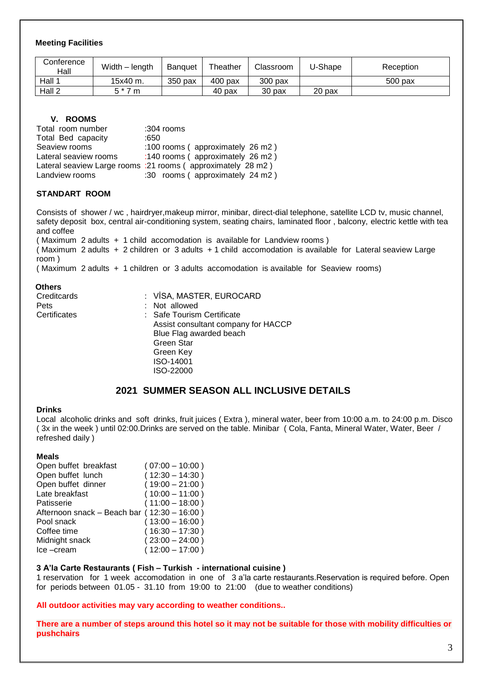# **Meeting Facilities**

| Conference<br>Hall | Width – length | <b>Banguet</b> | Theather  | Classroom | J-Shape | Reception |
|--------------------|----------------|----------------|-----------|-----------|---------|-----------|
| Hall               | $15x40$ m.     | 350 pax        | $400$ pax | $300$ pax |         | 500 pax   |
| Hall 2             | E * 7<br>m     |                | 40 pax    | 30 pax    | 20 pax  |           |

# **V. ROOMS**

| Total room number     | $:304$ rooms                                                 |
|-----------------------|--------------------------------------------------------------|
| Total Bed capacity    | :650                                                         |
| Seaview rooms         | :100 rooms (approximately 26 m2)                             |
| Lateral seaview rooms | :140 rooms (approximately 26 m2)                             |
|                       | Lateral seaview Large rooms : 21 rooms (approximately 28 m2) |
| Landview rooms        | :30 rooms (approximately 24 m2)                              |

# **STANDART ROOM**

Consists of shower / wc , hairdryer,makeup mirror, minibar, direct-dial telephone, satellite LCD tv, music channel, safety deposit box, central air-conditioning system, seating chairs, laminated floor , balcony, electric kettle with tea and coffee

( Maximum 2 adults + 1 child accomodation is available for Landview rooms ) ( Maximum 2 adults + 2 children or 3 adults + 1 child accomodation is available for Lateral seaview Large room ) ( Maximum 2 adults + 1 children or 3 adults accomodation is available for Seaview rooms)

#### **Others**

| Creditcards  | : VİSA, MASTER, EUROCARD            |
|--------------|-------------------------------------|
| Pets         | : Not allowed                       |
| Certificates | : Safe Tourism Certificate          |
|              | Assist consultant company for HACCP |
|              | Blue Flag awarded beach             |
|              | <b>Green Star</b>                   |
|              | Green Key                           |
|              | ISO-14001                           |
|              | ISO-22000                           |
|              |                                     |

# **2021 SUMMER SEASON ALL INCLUSIVE DETAILS**

#### **Drinks**

Local alcoholic drinks and soft drinks, fruit juices ( Extra ), mineral water, beer from 10:00 a.m. to 24:00 p.m. Disco ( 3x in the week ) until 02:00.Drinks are served on the table. Minibar ( Cola, Fanta, Mineral Water, Water, Beer / refreshed daily )

## **Meals**

| Open buffet breakfast                       | $(07:00 - 10:00)$ |
|---------------------------------------------|-------------------|
| Open buffet lunch                           | $(12:30 - 14:30)$ |
| Open buffet dinner                          | $(19:00 - 21:00)$ |
| Late breakfast                              | $(10:00 - 11:00)$ |
| Patisserie                                  | $(11:00 - 18:00)$ |
| Afternoon snack - Beach bar (12:30 - 16:00) |                   |
| Pool snack                                  | $(13:00 - 16:00)$ |
| Coffee time                                 | $(16:30 - 17:30)$ |
| Midnight snack                              | $(23:00 - 24:00)$ |
| Ice-cream                                   | $(12:00 - 17:00)$ |
|                                             |                   |

# **3 A'la Carte Restaurants ( Fish – Turkish - international cuisine )**

1 reservation for 1 week accomodation in one of 3 a'la carte restaurants.Reservation is required before. Open for periods between 01.05 - 31.10 from 19:00 to 21:00 (due to weather conditions)

**All outdoor activities may vary according to weather conditions..**

**There are a number of steps around this hotel so it may not be suitable for those with mobility difficulties or pushchairs**